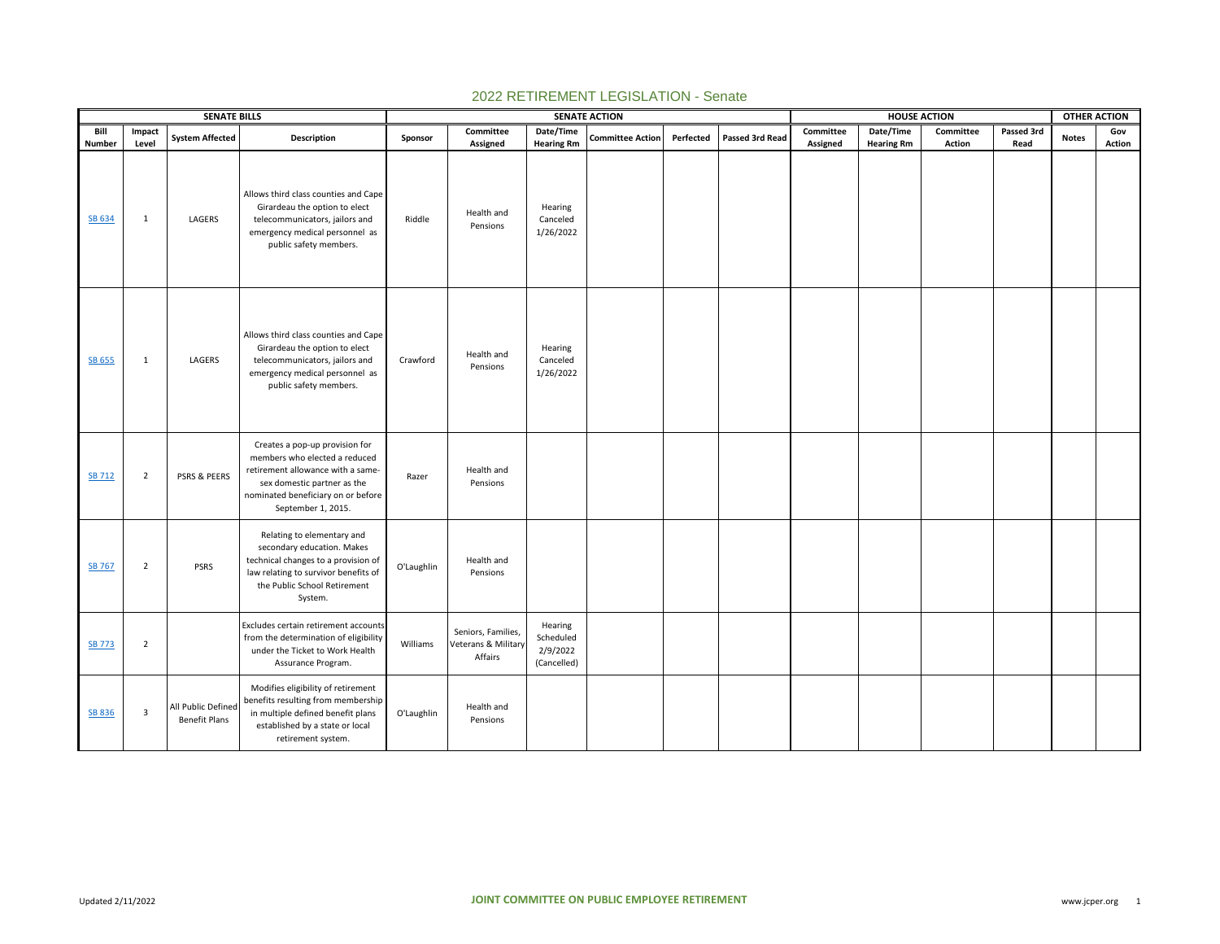|                |                 | <b>SENATE BILLS</b>                        |                                                                                                                                                                                                 |            |                                                      |                                                 | <b>SENATE ACTION</b>    |           |                 |                       | <b>HOUSE ACTION</b>            |                     |                    | <b>OTHER ACTION</b> |               |  |
|----------------|-----------------|--------------------------------------------|-------------------------------------------------------------------------------------------------------------------------------------------------------------------------------------------------|------------|------------------------------------------------------|-------------------------------------------------|-------------------------|-----------|-----------------|-----------------------|--------------------------------|---------------------|--------------------|---------------------|---------------|--|
| Bill<br>Number | Impact<br>Level | <b>System Affected</b>                     | Description                                                                                                                                                                                     | Sponsor    | Committee<br>Assigned                                | Date/Time<br><b>Hearing Rm</b>                  | <b>Committee Action</b> | Perfected | Passed 3rd Read | Committee<br>Assigned | Date/Time<br><b>Hearing Rm</b> | Committee<br>Action | Passed 3rd<br>Read | <b>Notes</b>        | Gov<br>Action |  |
| SB 634         | $\mathbf{1}$    | LAGERS                                     | Allows third class counties and Cape<br>Girardeau the option to elect<br>telecommunicators, jailors and<br>emergency medical personnel as<br>public safety members.                             | Riddle     | Health and<br>Pensions                               | Hearing<br>Canceled<br>1/26/2022                |                         |           |                 |                       |                                |                     |                    |                     |               |  |
| SB 655         | $\mathbf{1}$    | LAGERS                                     | Allows third class counties and Cape<br>Girardeau the option to elect<br>telecommunicators, jailors and<br>emergency medical personnel as<br>public safety members.                             | Crawford   | Health and<br>Pensions                               | Hearing<br>Canceled<br>1/26/2022                |                         |           |                 |                       |                                |                     |                    |                     |               |  |
| <b>SB 712</b>  | $\overline{2}$  | PSRS & PEERS                               | Creates a pop-up provision for<br>members who elected a reduced<br>retirement allowance with a same-<br>sex domestic partner as the<br>nominated beneficiary on or before<br>September 1, 2015. | Razer      | Health and<br>Pensions                               |                                                 |                         |           |                 |                       |                                |                     |                    |                     |               |  |
| SB 767         | $\overline{2}$  | <b>PSRS</b>                                | Relating to elementary and<br>secondary education. Makes<br>technical changes to a provision of<br>law relating to survivor benefits of<br>the Public School Retirement<br>System.              | O'Laughlin | Health and<br>Pensions                               |                                                 |                         |           |                 |                       |                                |                     |                    |                     |               |  |
| <b>SB 773</b>  | $\overline{2}$  |                                            | Excludes certain retirement accounts<br>from the determination of eligibility<br>under the Ticket to Work Health<br>Assurance Program.                                                          | Williams   | Seniors, Families,<br>Veterans & Military<br>Affairs | Hearing<br>Scheduled<br>2/9/2022<br>(Cancelled) |                         |           |                 |                       |                                |                     |                    |                     |               |  |
| <b>SB 836</b>  | 3               | All Public Defined<br><b>Benefit Plans</b> | Modifies eligibility of retirement<br>benefits resulting from membership<br>in multiple defined benefit plans<br>established by a state or local<br>retirement system.                          | O'Laughlin | Health and<br>Pensions                               |                                                 |                         |           |                 |                       |                                |                     |                    |                     |               |  |

## 2022 RETIREMENT LEGISLATION - Senate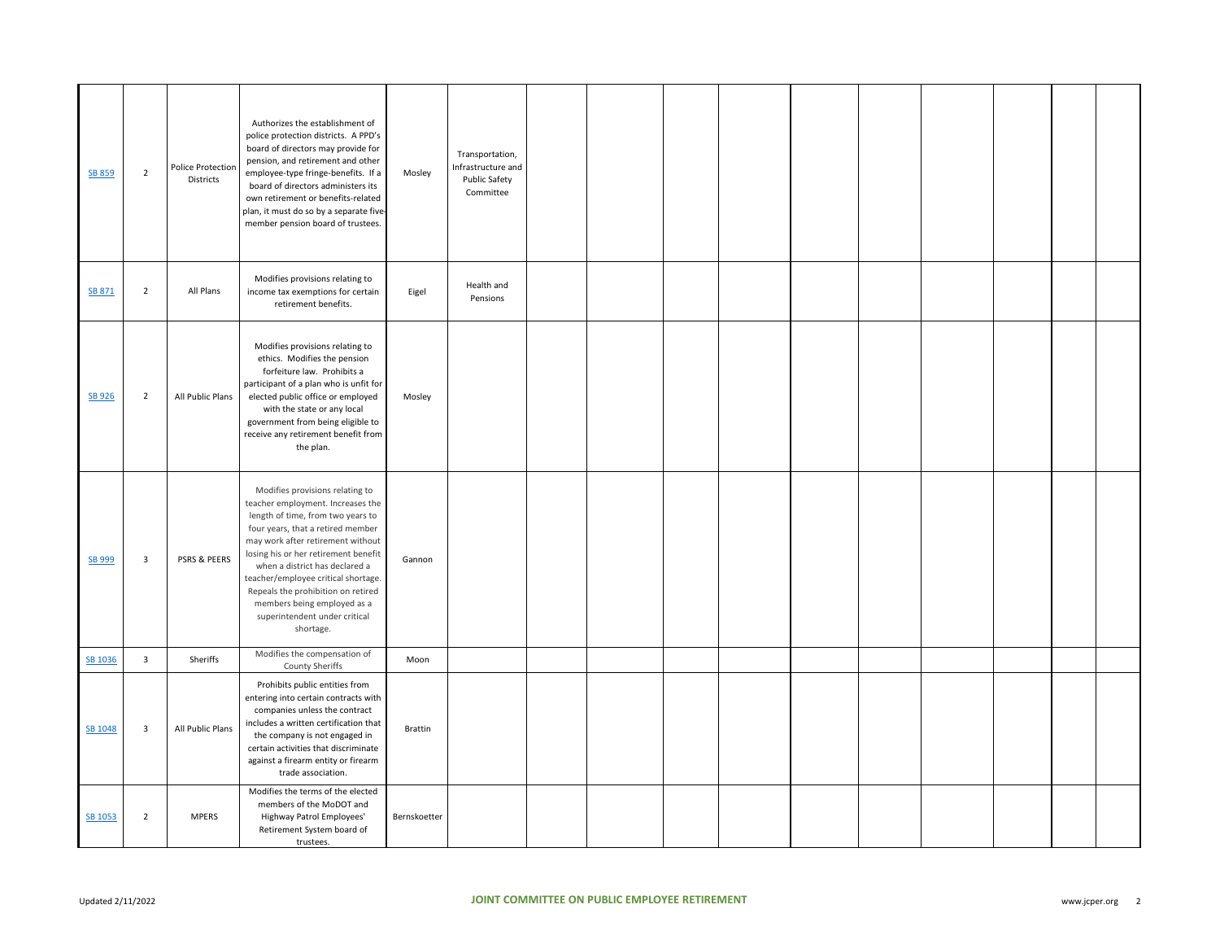| SB 859  | $\overline{2}$          | <b>Police Protection</b><br>Districts | Authorizes the establishment of<br>police protection districts. A PPD's<br>board of directors may provide for<br>pension, and retirement and other<br>employee-type fringe-benefits. If a<br>board of directors administers its<br>own retirement or benefits-related<br>plan, it must do so by a separate five-<br>member pension board of trustees.                                                                   | Mosley         | Transportation,<br>Infrastructure and<br>Public Safety<br>Committee |  |  |  |  |  |
|---------|-------------------------|---------------------------------------|-------------------------------------------------------------------------------------------------------------------------------------------------------------------------------------------------------------------------------------------------------------------------------------------------------------------------------------------------------------------------------------------------------------------------|----------------|---------------------------------------------------------------------|--|--|--|--|--|
| SB 871  | $\overline{2}$          | All Plans                             | Modifies provisions relating to<br>income tax exemptions for certain<br>retirement benefits.                                                                                                                                                                                                                                                                                                                            | Eigel          | Health and<br>Pensions                                              |  |  |  |  |  |
| SB 926  | $\overline{2}$          | All Public Plans                      | Modifies provisions relating to<br>ethics. Modifies the pension<br>forfeiture law. Prohibits a<br>participant of a plan who is unfit for<br>elected public office or employed<br>with the state or any local<br>government from being eligible to<br>receive any retirement benefit from<br>the plan.                                                                                                                   | Mosley         |                                                                     |  |  |  |  |  |
| SB 999  | $\overline{3}$          | PSRS & PEERS                          | Modifies provisions relating to<br>teacher employment. Increases the<br>length of time, from two years to<br>four years, that a retired member<br>may work after retirement without<br>losing his or her retirement benefit<br>when a district has declared a<br>teacher/employee critical shortage.<br>Repeals the prohibition on retired<br>members being employed as a<br>superintendent under critical<br>shortage. | Gannon         |                                                                     |  |  |  |  |  |
| SB 1036 | $\overline{\mathbf{3}}$ | Sheriffs                              | Modifies the compensation of<br>County Sheriffs                                                                                                                                                                                                                                                                                                                                                                         | Moon           |                                                                     |  |  |  |  |  |
| SB 1048 | $\overline{\mathbf{3}}$ | All Public Plans                      | Prohibits public entities from<br>entering into certain contracts with<br>companies unless the contract<br>includes a written certification that<br>the company is not engaged in<br>certain activities that discriminate<br>against a firearm entity or firearm<br>trade association.                                                                                                                                  | <b>Brattin</b> |                                                                     |  |  |  |  |  |
| SB 1053 | $\overline{2}$          | <b>MPERS</b>                          | Modifies the terms of the elected<br>members of the MoDOT and<br>Highway Patrol Employees'<br>Retirement System board of<br>trustees.                                                                                                                                                                                                                                                                                   | Bernskoetter   |                                                                     |  |  |  |  |  |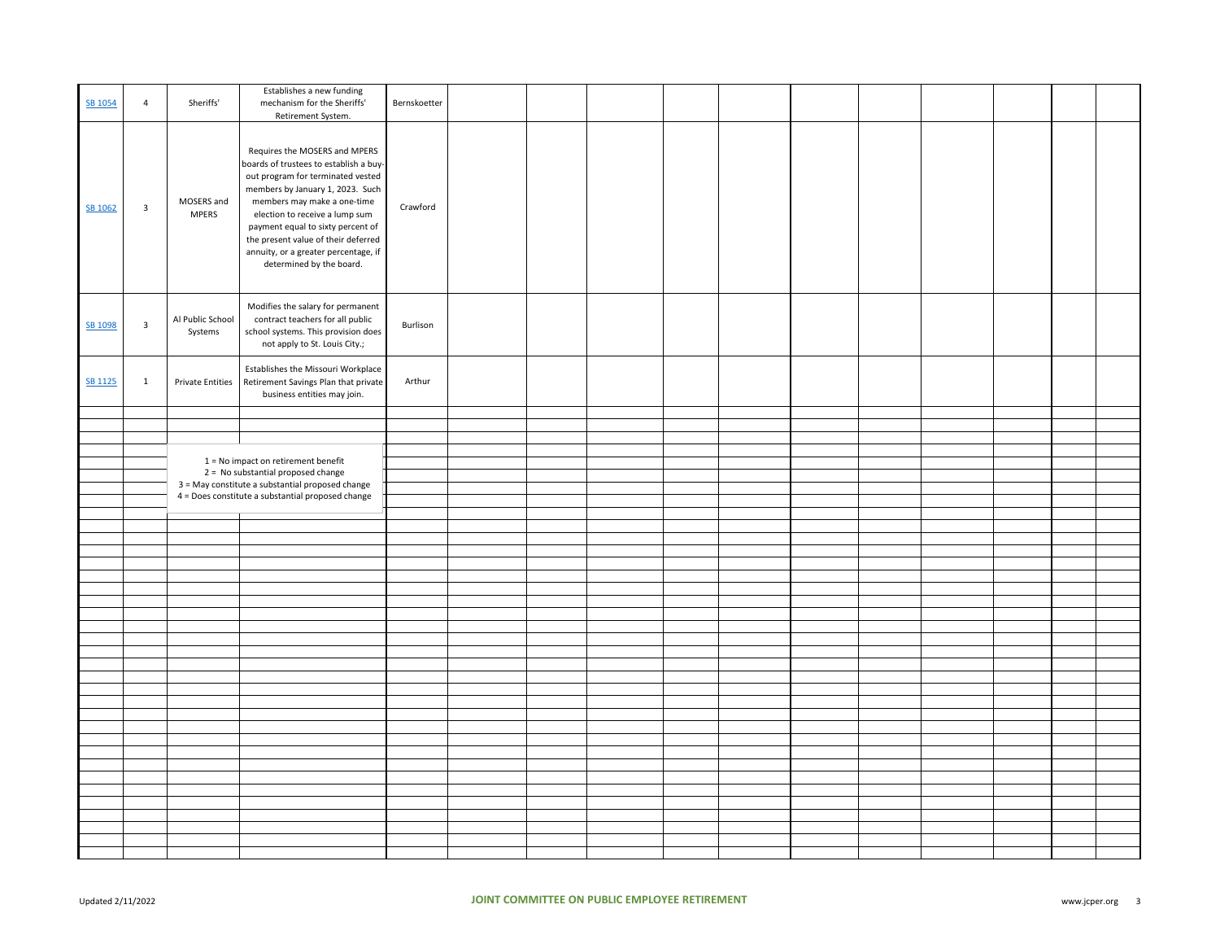| SB 1054        | 4                         | Sheriffs'                           | Establishes a new funding<br>mechanism for the Sheriffs'<br>Retirement System.                                                                                                                                                                                                                                                                                    | Bernskoetter |  |  |  |  |  |  |
|----------------|---------------------------|-------------------------------------|-------------------------------------------------------------------------------------------------------------------------------------------------------------------------------------------------------------------------------------------------------------------------------------------------------------------------------------------------------------------|--------------|--|--|--|--|--|--|
| SB 1062        | $\ensuremath{\mathsf{3}}$ | MOSERS and<br><b>MPERS</b>          | Requires the MOSERS and MPERS<br>boards of trustees to establish a buy-<br>out program for terminated vested<br>members by January 1, 2023. Such<br>members may make a one-time<br>election to receive a lump sum<br>payment equal to sixty percent of<br>the present value of their deferred<br>annuity, or a greater percentage, if<br>determined by the board. | Crawford     |  |  |  |  |  |  |
| SB 1098        | $\overline{\mathbf{3}}$   | Al Public School<br>Systems         | Modifies the salary for permanent<br>contract teachers for all public<br>school systems. This provision does<br>not apply to St. Louis City.;                                                                                                                                                                                                                     | Burlison     |  |  |  |  |  |  |
| <b>SB 1125</b> | $\mathbf{1}$              | <b>Private Entities</b>             | Establishes the Missouri Workplace<br>Retirement Savings Plan that private<br>business entities may join.                                                                                                                                                                                                                                                         | Arthur       |  |  |  |  |  |  |
|                |                           |                                     |                                                                                                                                                                                                                                                                                                                                                                   |              |  |  |  |  |  |  |
|                |                           |                                     |                                                                                                                                                                                                                                                                                                                                                                   |              |  |  |  |  |  |  |
|                |                           |                                     |                                                                                                                                                                                                                                                                                                                                                                   |              |  |  |  |  |  |  |
|                |                           | 1 = No impact on retirement benefit |                                                                                                                                                                                                                                                                                                                                                                   |              |  |  |  |  |  |  |
|                |                           |                                     | 2 = No substantial proposed change                                                                                                                                                                                                                                                                                                                                |              |  |  |  |  |  |  |
|                |                           |                                     | 3 = May constitute a substantial proposed change<br>4 = Does constitute a substantial proposed change                                                                                                                                                                                                                                                             |              |  |  |  |  |  |  |
|                |                           |                                     |                                                                                                                                                                                                                                                                                                                                                                   |              |  |  |  |  |  |  |
|                |                           |                                     |                                                                                                                                                                                                                                                                                                                                                                   |              |  |  |  |  |  |  |
|                |                           |                                     |                                                                                                                                                                                                                                                                                                                                                                   |              |  |  |  |  |  |  |
|                |                           |                                     |                                                                                                                                                                                                                                                                                                                                                                   |              |  |  |  |  |  |  |
|                |                           |                                     |                                                                                                                                                                                                                                                                                                                                                                   |              |  |  |  |  |  |  |
|                |                           |                                     |                                                                                                                                                                                                                                                                                                                                                                   |              |  |  |  |  |  |  |
|                |                           |                                     |                                                                                                                                                                                                                                                                                                                                                                   |              |  |  |  |  |  |  |
|                |                           |                                     |                                                                                                                                                                                                                                                                                                                                                                   |              |  |  |  |  |  |  |
|                |                           |                                     |                                                                                                                                                                                                                                                                                                                                                                   |              |  |  |  |  |  |  |
|                |                           |                                     |                                                                                                                                                                                                                                                                                                                                                                   |              |  |  |  |  |  |  |
|                |                           |                                     |                                                                                                                                                                                                                                                                                                                                                                   |              |  |  |  |  |  |  |
|                |                           |                                     |                                                                                                                                                                                                                                                                                                                                                                   |              |  |  |  |  |  |  |
|                |                           |                                     |                                                                                                                                                                                                                                                                                                                                                                   |              |  |  |  |  |  |  |
|                |                           |                                     |                                                                                                                                                                                                                                                                                                                                                                   |              |  |  |  |  |  |  |
|                |                           |                                     |                                                                                                                                                                                                                                                                                                                                                                   |              |  |  |  |  |  |  |
|                |                           |                                     |                                                                                                                                                                                                                                                                                                                                                                   |              |  |  |  |  |  |  |
|                |                           |                                     |                                                                                                                                                                                                                                                                                                                                                                   |              |  |  |  |  |  |  |
|                |                           |                                     |                                                                                                                                                                                                                                                                                                                                                                   |              |  |  |  |  |  |  |
|                |                           |                                     |                                                                                                                                                                                                                                                                                                                                                                   |              |  |  |  |  |  |  |
|                |                           |                                     |                                                                                                                                                                                                                                                                                                                                                                   |              |  |  |  |  |  |  |
|                |                           |                                     |                                                                                                                                                                                                                                                                                                                                                                   |              |  |  |  |  |  |  |
|                |                           |                                     |                                                                                                                                                                                                                                                                                                                                                                   |              |  |  |  |  |  |  |
|                |                           |                                     |                                                                                                                                                                                                                                                                                                                                                                   |              |  |  |  |  |  |  |
|                |                           |                                     |                                                                                                                                                                                                                                                                                                                                                                   |              |  |  |  |  |  |  |
|                |                           |                                     |                                                                                                                                                                                                                                                                                                                                                                   |              |  |  |  |  |  |  |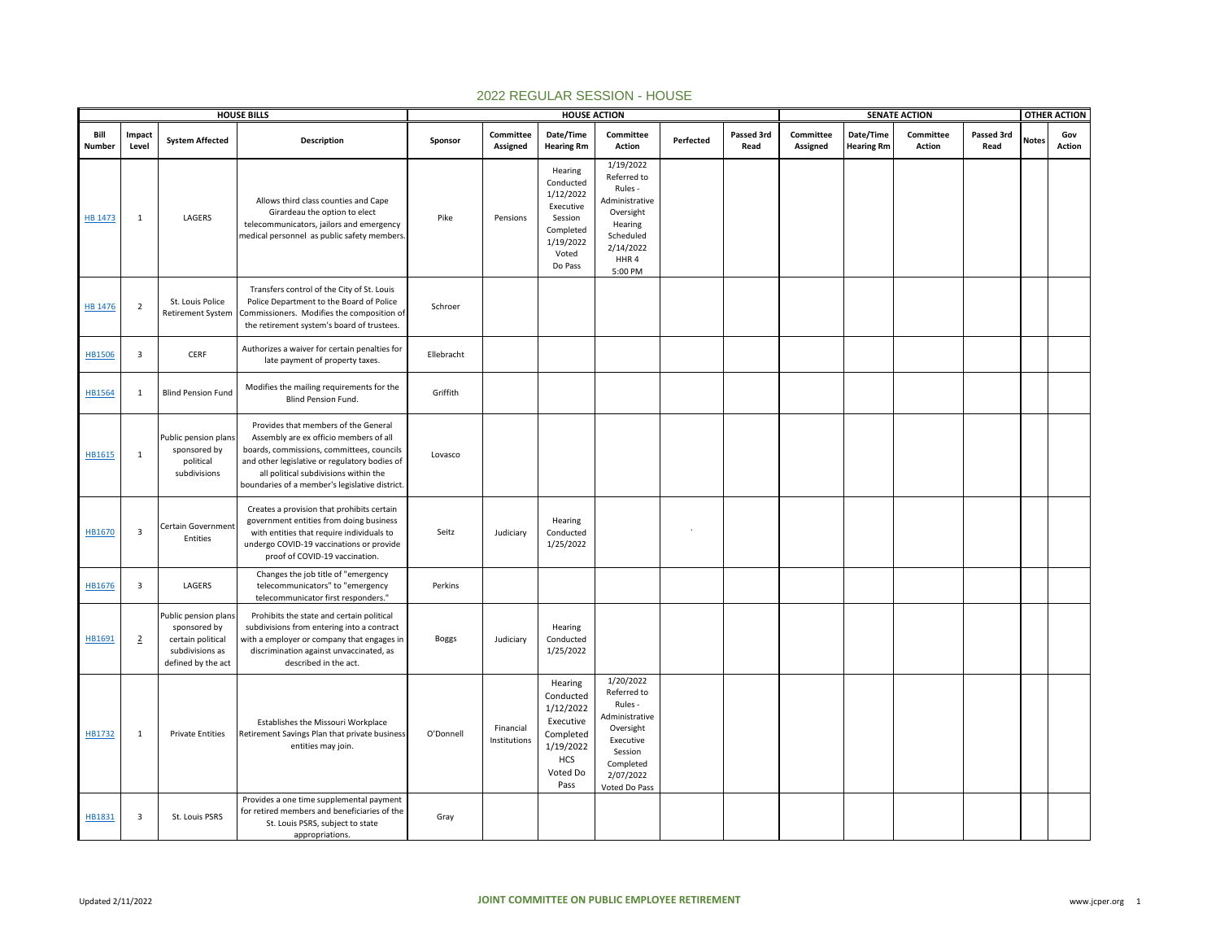|                |                         | <b>HOUSE BILLS</b>                                                                                 |                                                                                                                                                                                                                                                                         |              | <b>HOUSE ACTION</b>       |                                                                                                            |                                                                                                                                       |           | <b>SENATE ACTION</b> |                       |                                |                     |                    | <b>OTHER ACTION</b> |               |
|----------------|-------------------------|----------------------------------------------------------------------------------------------------|-------------------------------------------------------------------------------------------------------------------------------------------------------------------------------------------------------------------------------------------------------------------------|--------------|---------------------------|------------------------------------------------------------------------------------------------------------|---------------------------------------------------------------------------------------------------------------------------------------|-----------|----------------------|-----------------------|--------------------------------|---------------------|--------------------|---------------------|---------------|
| Bill<br>Number | Impact<br>Level         | <b>System Affected</b>                                                                             | <b>Description</b>                                                                                                                                                                                                                                                      | Sponsor      | Committee<br>Assigned     | Date/Time<br><b>Hearing Rm</b>                                                                             | Committee<br>Action                                                                                                                   | Perfected | Passed 3rd<br>Read   | Committee<br>Assigned | Date/Time<br><b>Hearing Rm</b> | Committee<br>Action | Passed 3rd<br>Read | <b>Notes</b>        | Gov<br>Action |
| <b>HB 1473</b> | 1                       | LAGERS                                                                                             | Allows third class counties and Cape<br>Girardeau the option to elect<br>telecommunicators, jailors and emergency<br>medical personnel as public safety members.                                                                                                        | Pike         | Pensions                  | Hearing<br>Conducted<br>1/12/2022<br>Executive<br>Session<br>Completed<br>1/19/2022<br>Voted<br>Do Pass    | 1/19/2022<br>Referred to<br>Rules -<br>Administrative<br>Oversight<br>Hearing<br>Scheduled<br>2/14/2022<br>HHR4<br>5:00 PM            |           |                      |                       |                                |                     |                    |                     |               |
| <b>HB 1476</b> | $\overline{2}$          | St. Louis Police<br>Retirement System                                                              | Transfers control of the City of St. Louis<br>Police Department to the Board of Police<br>Commissioners. Modifies the composition of<br>the retirement system's board of trustees.                                                                                      | Schroer      |                           |                                                                                                            |                                                                                                                                       |           |                      |                       |                                |                     |                    |                     |               |
| <b>HB1506</b>  | $\overline{\mathbf{3}}$ | CERF                                                                                               | Authorizes a waiver for certain penalties for<br>late payment of property taxes.                                                                                                                                                                                        | Ellebracht   |                           |                                                                                                            |                                                                                                                                       |           |                      |                       |                                |                     |                    |                     |               |
| HB1564         | 1                       | <b>Blind Pension Fund</b>                                                                          | Modifies the mailing requirements for the<br>Blind Pension Fund.                                                                                                                                                                                                        | Griffith     |                           |                                                                                                            |                                                                                                                                       |           |                      |                       |                                |                     |                    |                     |               |
| HB1615         | $\mathbf{1}$            | Public pension plans<br>sponsored by<br>political<br>subdivisions                                  | Provides that members of the General<br>Assembly are ex officio members of all<br>boards, commissions, committees, councils<br>and other legislative or regulatory bodies of<br>all political subdivisions within the<br>boundaries of a member's legislative district. | Lovasco      |                           |                                                                                                            |                                                                                                                                       |           |                      |                       |                                |                     |                    |                     |               |
| HB1670         | $\overline{\mathbf{3}}$ | Certain Government<br>Entities                                                                     | Creates a provision that prohibits certain<br>government entities from doing business<br>with entities that require individuals to<br>undergo COVID-19 vaccinations or provide<br>proof of COVID-19 vaccination.                                                        | Seitz        | Judiciary                 | Hearing<br>Conducted<br>1/25/2022                                                                          |                                                                                                                                       |           |                      |                       |                                |                     |                    |                     |               |
| HB1676         | $\overline{\mathbf{3}}$ | LAGERS                                                                                             | Changes the job title of "emergency<br>telecommunicators" to "emergency<br>telecommunicator first responders."                                                                                                                                                          | Perkins      |                           |                                                                                                            |                                                                                                                                       |           |                      |                       |                                |                     |                    |                     |               |
| HB1691         | $\overline{2}$          | Public pension plans<br>sponsored by<br>certain political<br>subdivisions as<br>defined by the act | Prohibits the state and certain political<br>subdivisions from entering into a contract<br>with a employer or company that engages in<br>discrimination against unvaccinated, as<br>described in the act.                                                               | <b>Boggs</b> | Judiciary                 | Hearing<br>Conducted<br>1/25/2022                                                                          |                                                                                                                                       |           |                      |                       |                                |                     |                    |                     |               |
| HB1732         | 1                       | <b>Private Entities</b>                                                                            | Establishes the Missouri Workplace<br>Retirement Savings Plan that private business<br>entities may join.                                                                                                                                                               | O'Donnell    | Financial<br>Institutions | Hearing<br>Conducted<br>1/12/2022<br>Executive<br>Completed<br>1/19/2022<br><b>HCS</b><br>Voted Do<br>Pass | 1/20/2022<br>Referred to<br>Rules -<br>Administrative<br>Oversight<br>Executive<br>Session<br>Completed<br>2/07/2022<br>Voted Do Pass |           |                      |                       |                                |                     |                    |                     |               |
| HB1831         | $\overline{\mathbf{3}}$ | St. Louis PSRS                                                                                     | Provides a one time supplemental payment<br>for retired members and beneficiaries of the<br>St. Louis PSRS, subject to state<br>appropriations.                                                                                                                         | Gray         |                           |                                                                                                            |                                                                                                                                       |           |                      |                       |                                |                     |                    |                     |               |

## 2022 REGULAR SESSION - HOUSE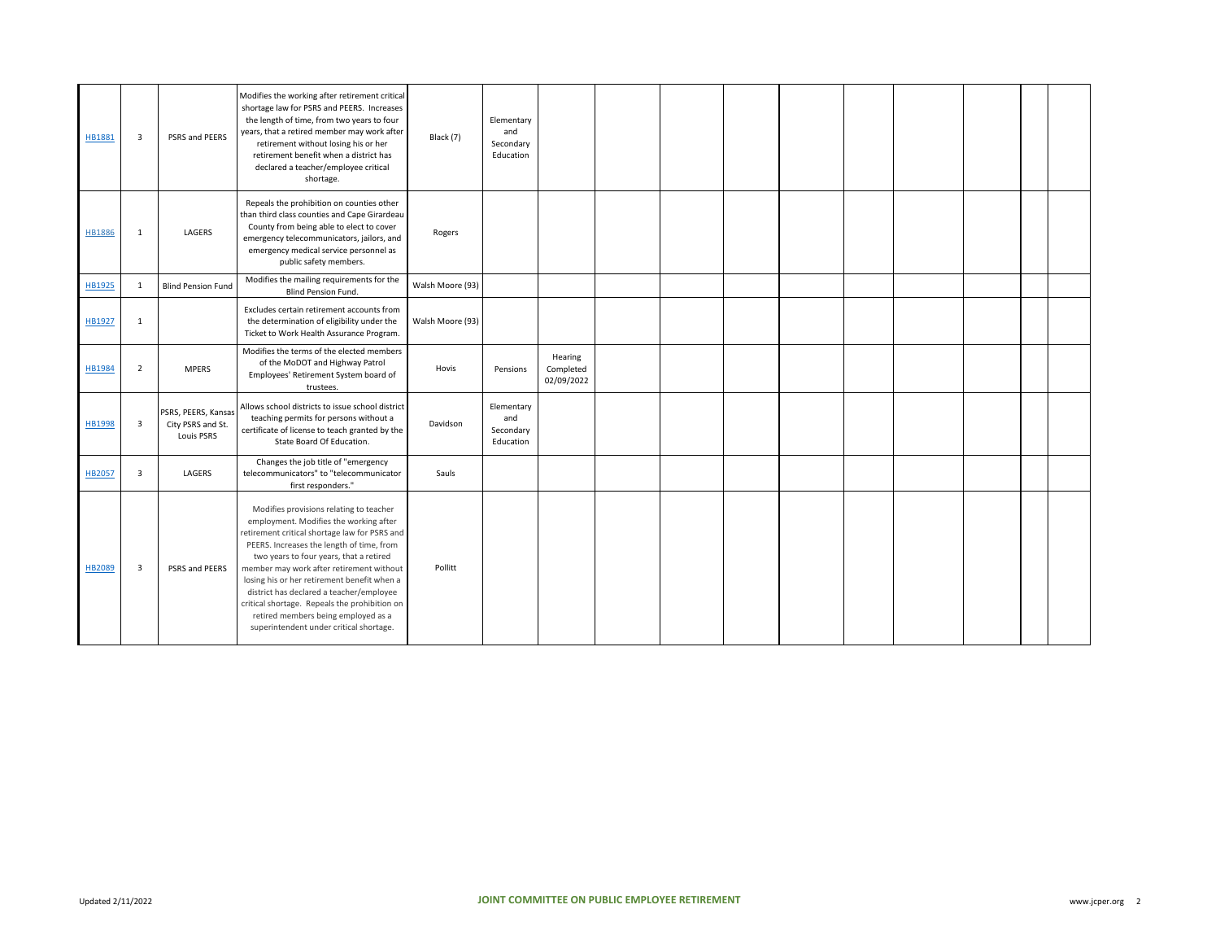| HB1881        | $\overline{3}$          | PSRS and PEERS                                         | Modifies the working after retirement critical<br>shortage law for PSRS and PEERS. Increases<br>the length of time, from two years to four<br>years, that a retired member may work after<br>retirement without losing his or her<br>retirement benefit when a district has<br>declared a teacher/employee critical<br>shortage.                                                                                                                                                                     | Black (7)        | Elementary<br>and<br>Secondary<br>Education |                                    |  |  |  |  |  |
|---------------|-------------------------|--------------------------------------------------------|------------------------------------------------------------------------------------------------------------------------------------------------------------------------------------------------------------------------------------------------------------------------------------------------------------------------------------------------------------------------------------------------------------------------------------------------------------------------------------------------------|------------------|---------------------------------------------|------------------------------------|--|--|--|--|--|
| <b>HB1886</b> | 1                       | LAGERS                                                 | Repeals the prohibition on counties other<br>than third class counties and Cape Girardeau<br>County from being able to elect to cover<br>emergency telecommunicators, jailors, and<br>emergency medical service personnel as<br>public safety members.                                                                                                                                                                                                                                               | Rogers           |                                             |                                    |  |  |  |  |  |
| HB1925        | 1                       | <b>Blind Pension Fund</b>                              | Modifies the mailing requirements for the<br><b>Blind Pension Fund.</b>                                                                                                                                                                                                                                                                                                                                                                                                                              | Walsh Moore (93) |                                             |                                    |  |  |  |  |  |
| HB1927        | 1                       |                                                        | Excludes certain retirement accounts from<br>the determination of eligibility under the<br>Ticket to Work Health Assurance Program.                                                                                                                                                                                                                                                                                                                                                                  | Walsh Moore (93) |                                             |                                    |  |  |  |  |  |
| HB1984        | $\overline{2}$          | <b>MPERS</b>                                           | Modifies the terms of the elected members<br>of the MoDOT and Highway Patrol<br>Employees' Retirement System board of<br>trustees.                                                                                                                                                                                                                                                                                                                                                                   | Hovis            | Pensions                                    | Hearing<br>Completed<br>02/09/2022 |  |  |  |  |  |
| <b>HB1998</b> | $\overline{\mathbf{3}}$ | PSRS, PEERS, Kansas<br>City PSRS and St.<br>Louis PSRS | Allows school districts to issue school district<br>teaching permits for persons without a<br>certificate of license to teach granted by the<br>State Board Of Education.                                                                                                                                                                                                                                                                                                                            | Davidson         | Elementary<br>and<br>Secondary<br>Education |                                    |  |  |  |  |  |
| HB2057        | $\overline{\mathbf{3}}$ | LAGERS                                                 | Changes the job title of "emergency<br>telecommunicators" to "telecommunicator<br>first responders."                                                                                                                                                                                                                                                                                                                                                                                                 | Sauls            |                                             |                                    |  |  |  |  |  |
| <b>HB2089</b> | $\overline{\mathbf{3}}$ | PSRS and PEERS                                         | Modifies provisions relating to teacher<br>employment. Modifies the working after<br>retirement critical shortage law for PSRS and<br>PEERS. Increases the length of time, from<br>two years to four years, that a retired<br>member may work after retirement without<br>losing his or her retirement benefit when a<br>district has declared a teacher/employee<br>critical shortage. Repeals the prohibition on<br>retired members being employed as a<br>superintendent under critical shortage. | Pollitt          |                                             |                                    |  |  |  |  |  |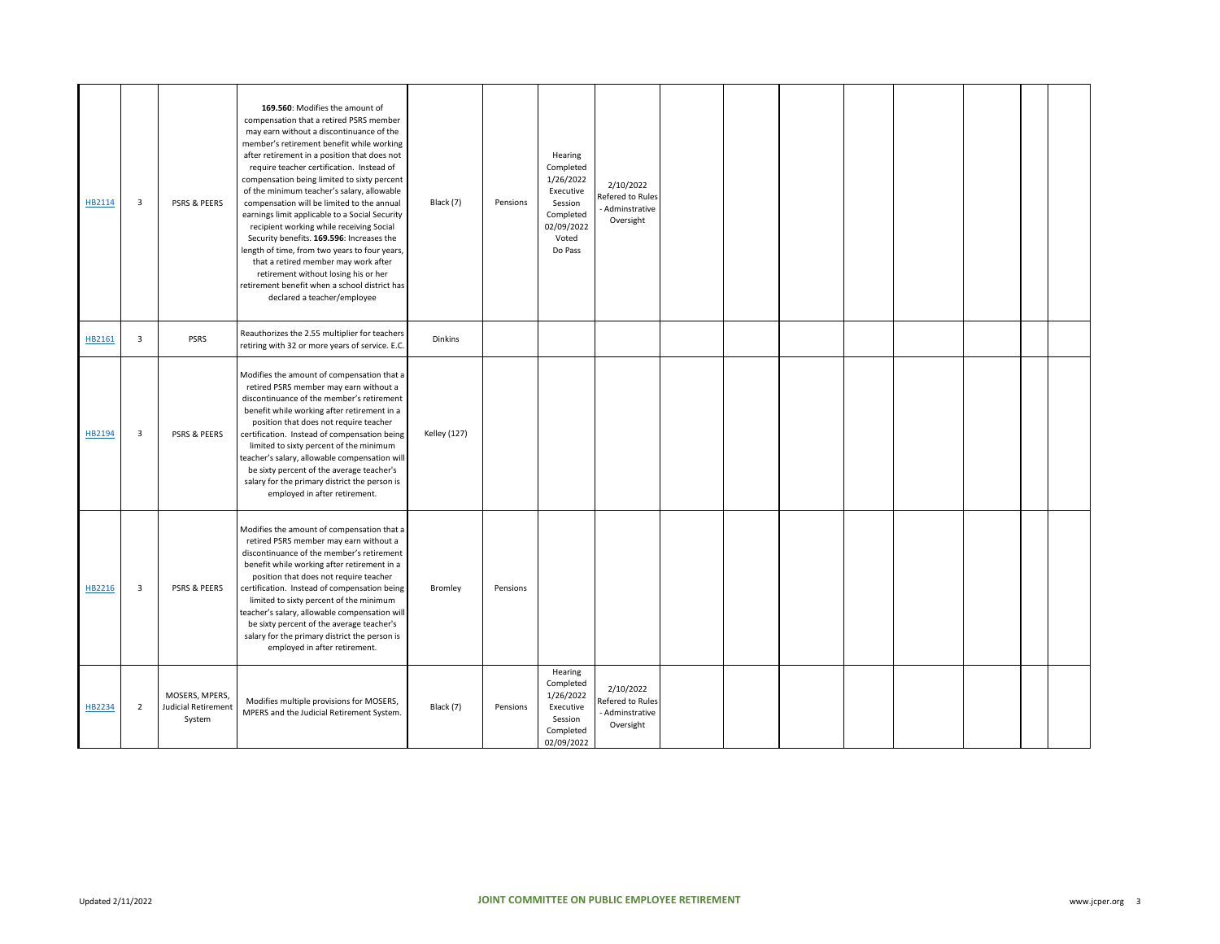| HB2114 | 3              | PSRS & PEERS                                           | 169.560: Modifies the amount of<br>compensation that a retired PSRS member<br>may earn without a discontinuance of the<br>member's retirement benefit while working<br>after retirement in a position that does not<br>require teacher certification. Instead of<br>compensation being limited to sixty percent<br>of the minimum teacher's salary, allowable<br>compensation will be limited to the annual<br>earnings limit applicable to a Social Security<br>recipient working while receiving Social<br>Security benefits. 169.596: Increases the<br>length of time, from two years to four years<br>that a retired member may work after<br>retirement without losing his or her<br>retirement benefit when a school district has<br>declared a teacher/employee | Black (7)           | Pensions | Hearing<br>Completed<br>1/26/2022<br>Executive<br>Session<br>Completed<br>02/09/2022<br>Voted<br>Do Pass | 2/10/2022<br>efered to Rules<br>Adminstrative<br>Oversight  |  |  |  |  |
|--------|----------------|--------------------------------------------------------|------------------------------------------------------------------------------------------------------------------------------------------------------------------------------------------------------------------------------------------------------------------------------------------------------------------------------------------------------------------------------------------------------------------------------------------------------------------------------------------------------------------------------------------------------------------------------------------------------------------------------------------------------------------------------------------------------------------------------------------------------------------------|---------------------|----------|----------------------------------------------------------------------------------------------------------|-------------------------------------------------------------|--|--|--|--|
| HB2161 | 3              | <b>PSRS</b>                                            | Reauthorizes the 2.55 multiplier for teachers<br>retiring with 32 or more years of service. E.C.                                                                                                                                                                                                                                                                                                                                                                                                                                                                                                                                                                                                                                                                       | <b>Dinkins</b>      |          |                                                                                                          |                                                             |  |  |  |  |
| HB2194 | 3              | <b>PSRS &amp; PEERS</b>                                | Modifies the amount of compensation that a<br>retired PSRS member may earn without a<br>discontinuance of the member's retirement<br>benefit while working after retirement in a<br>position that does not require teacher<br>certification. Instead of compensation being<br>limited to sixty percent of the minimum<br>teacher's salary, allowable compensation will<br>be sixty percent of the average teacher's<br>salary for the primary district the person is<br>employed in after retirement.                                                                                                                                                                                                                                                                  | <b>Kelley (127)</b> |          |                                                                                                          |                                                             |  |  |  |  |
| HB2216 | 3              | <b>PSRS &amp; PEERS</b>                                | Modifies the amount of compensation that a<br>retired PSRS member may earn without a<br>discontinuance of the member's retirement<br>benefit while working after retirement in a<br>position that does not require teacher<br>certification. Instead of compensation being<br>limited to sixty percent of the minimum<br>teacher's salary, allowable compensation will<br>be sixty percent of the average teacher's<br>salary for the primary district the person is<br>employed in after retirement.                                                                                                                                                                                                                                                                  | Bromley             | Pensions |                                                                                                          |                                                             |  |  |  |  |
| HB2234 | $\overline{2}$ | MOSERS, MPERS,<br><b>Judicial Retirement</b><br>System | Modifies multiple provisions for MOSERS,<br>MPERS and the Judicial Retirement System.                                                                                                                                                                                                                                                                                                                                                                                                                                                                                                                                                                                                                                                                                  | Black (7)           | Pensions | Hearing<br>Completed<br>1/26/2022<br>Executive<br>Session<br>Completed<br>02/09/2022                     | 2/10/2022<br>Refered to Rules<br>Adminstrative<br>Oversight |  |  |  |  |